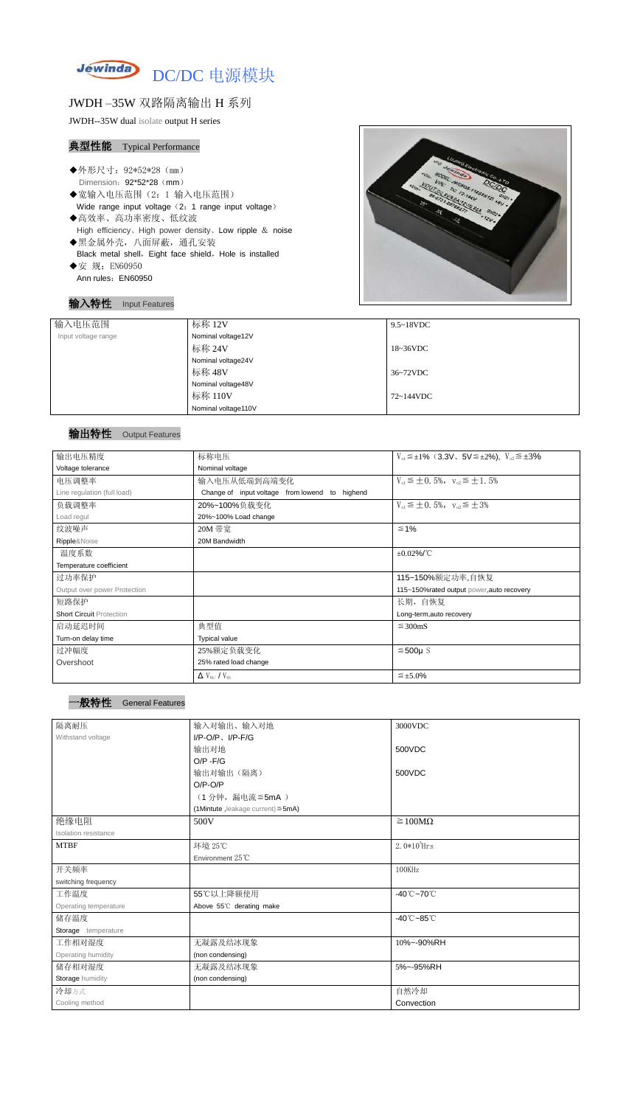

## JWDH –35W 双路隔离输出 H 系列

JWDH--35W dual isolate output H series

### 典型性能 Typical Performance

- ◆外形尺寸: 92\*52\*28 (mm) Dimension: 92\*52\*28 (mm)
- ◆宽输入电压范围(2:1 输入电压范围) Wide range input voltage (2: 1 range input voltage)
- ◆高效率、高功率密度、低纹波 High efficiency、High power density、Low ripple & noise ◆黑金属外壳,八面屏蔽,通孔安装
- Black metal shell, Eight face shield, Hole is installed ◆安 规: EN60950
- Ann rules: EN60950

## 输入特性 Input Features



#### 输出特性 Output Features

| 输入电压范围              | 标称 12V              | $9.5 \sim 18$ VDC   |
|---------------------|---------------------|---------------------|
| Input voltage range | Nominal voltage12V  |                     |
|                     | 标称 24V              | $18~36\textrm{VDC}$ |
|                     | Nominal voltage24V  |                     |
|                     | 标称 48V              | 36~72VDC            |
|                     | Nominal voltage48V  |                     |
|                     | 标称 110V             | 72~144VDC           |
|                     | Nominal voltage110V |                     |

| 输出电压精度                          | 标称电压                                           | $V_{01} \leq \pm 1\%$ (3.3V, 5V $\leq \pm 2\%$ ), $V_{02} \leq \pm 3\%$ |
|---------------------------------|------------------------------------------------|-------------------------------------------------------------------------|
| Voltage tolerance               | Nominal voltage                                |                                                                         |
| 电压调整率                           | 输入电压从低端到高端变化                                   | $V_{01} \leq \pm 0.5\%$ , $V_{02} \leq \pm 1.5\%$                       |
| Line regulation (full load)     | Change of input voltage from lowend to highend |                                                                         |
| 负载调整率                           | 20%~100%负载变化                                   | $V_{01} \leq \pm 0.5\%$ , $V_{02} \leq \pm 3\%$                         |
| Load regul                      | 20%~100% Load change                           |                                                                         |
| 纹波噪声                            | 20M 带宽                                         | $\leq 1\%$                                                              |
| Ripple&Noise                    | 20M Bandwidth                                  |                                                                         |
| 温度系数                            |                                                | $\pm 0.02\%$ /°C                                                        |
| Temperature coefficient         |                                                |                                                                         |
| 过功率保护                           |                                                | 115~150%额定功率,自恢复                                                        |
| Output over power Protection    |                                                | 115~150%rated output power, auto recovery                               |
| 短路保护                            |                                                | 长期,自恢复                                                                  |
| <b>Short Circuit Protection</b> |                                                | Long-term, auto recovery                                                |
| 启动延迟时间                          | 典型值                                            | $\leq$ 300mS                                                            |
| Turn-on delay time              | <b>Typical value</b>                           |                                                                         |
| 过冲幅度                            | 25%额定负载变化                                      | $≤500µ$ S                                                               |
| Overshoot                       | 25% rated load change                          |                                                                         |
|                                 | $\Delta$ V <sub>01</sub> /V <sub>01</sub>      | $\leq \pm 5.0\%$                                                        |

| 隔离耐压                  | 输入对输出、输入对地                              | 3000VDC                         |
|-----------------------|-----------------------------------------|---------------------------------|
| Withstand voltage     | $I/P$ -O/P, $I/P$ -F/G                  |                                 |
|                       | 输出对地                                    | 500VDC                          |
|                       | $O/P - F/G$                             |                                 |
|                       | 输出对输出(隔离)                               | 500VDC                          |
|                       | $O/P-O/P$                               |                                 |
|                       | (1分钟,漏电流≦5mA)                           |                                 |
|                       | (1Mintute, leakage current) $\leq$ 5mA) |                                 |
| 绝缘电阻                  | 500V                                    | $\geq 100M\Omega$               |
| Isolation resistance  |                                         |                                 |
| <b>MTBF</b>           | 环境 25℃                                  | $2.0*105$ Hrs                   |
|                       | Environment 25°C                        |                                 |
| 开关频率                  |                                         | 100KHz                          |
| switching frequency   |                                         |                                 |
| 工作温度                  | 55℃以上降额使用                               | $-40^{\circ}$ C $-70^{\circ}$ C |
| Operating temperature | Above 55°C derating make                |                                 |
| 储存温度                  |                                         | $-40^{\circ}$ C $-85^{\circ}$ C |
| Storage temperature   |                                         |                                 |
| 工作相对湿度                | 无凝露及结冰现象                                | 10%~-90%RH                      |
| Operating humidity    | (non condensing)                        |                                 |
| 储存相对湿度                | 无凝露及结冰现象                                | 5%~-95%RH                       |
| Storage humidity      | (non condensing)                        |                                 |
| 冷却方式                  |                                         | 自然冷却                            |
| Cooling method        |                                         | Convection                      |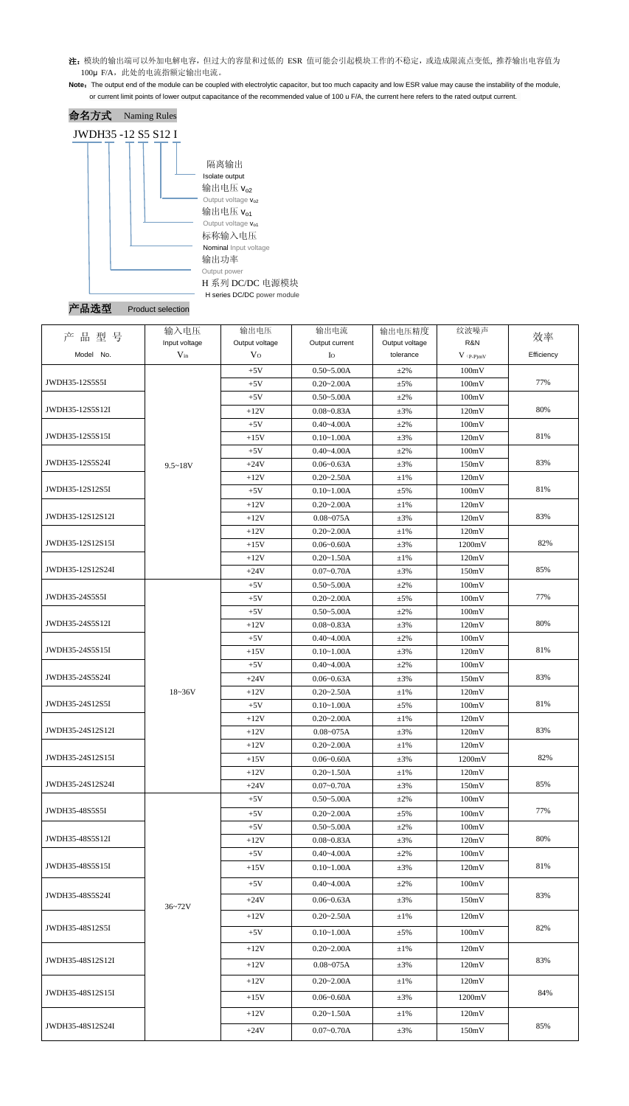- 注: 模块的输出端可以外加电解电容,但过大的容量和过低的 ESR 值可能会引起模块工作的不稳定, 或造成限流点变低, 推荐输出电容值为 100μ F/A, 此处的电流指额定输出电流。
- Note: The output end of the module can be coupled with electrolytic capacitor, but too much capacity and low ESR value may cause the instability of the module, or current limit points of lower output capacitance of the recommended value of 100 u F/A, the current here refers to the rated output current.



| 产<br>型号          | 输入电压          | 输出电压           | 输出电流           | 输出电压精度         | 纹波噪声        |            |
|------------------|---------------|----------------|----------------|----------------|-------------|------------|
| 品                | Input voltage | Output voltage | Output current | Output voltage | R&N         | 效率         |
| Model No.        | $V_{in}$      | V <sub>O</sub> | $I_{\rm O}$    | tolerance      | $V$ (p-p)mV | Efficiency |
|                  |               | $+5V$          | $0.50 - 5.00A$ | $+2\%$         | 100mV       |            |
| JWDH35-12S5S5I   |               | $+5V$          | $0.20 - 2.00A$ | $\pm$ 5%       | 100mV       | 77%        |
|                  |               | $+5V$          | $0.50 - 5.00A$ | $\pm 2\%$      | 100mV       |            |
| JWDH35-12S5S12I  |               | $+12V$         | $0.08 - 0.83A$ | $\pm 3\%$      | 120mV       | 80%        |
|                  |               | $+5V$          | $0.40 - 4.00A$ | $\pm 2\%$      | 100mV       |            |
| JWDH35-12S5S15I  |               | $+15V$         | $0.10 - 1.00A$ | $\pm 3\%$      | 120mV       | 81%        |
|                  |               | $+5V$          | $0.40 - 4.00A$ | $\pm 2\%$      | 100mV       |            |
| JWDH35-12S5S24I  | $9.5 - 18V$   | $+24V$         | $0.06 - 0.63A$ | $\pm 3\%$      | 150mV       | 83%        |
|                  |               | $+12V$         | $0.20 - 2.50A$ | $\pm 1\%$      | 120mV       |            |
| JWDH35-12S12S5I  |               | $+5V$          | $0.10 - 1.00A$ | $\pm$ 5%       | 100mV       | 81%        |
|                  |               | $+12V$         | $0.20 - 2.00A$ | $\pm1\%$       | 120mV       |            |
| JWDH35-12S12S12I |               | $+12V$         | $0.08 - 075A$  | $\pm 3\%$      | 120mV       | 83%        |
|                  |               | $+12V$         | $0.20 - 2.00A$ | $\pm1\%$       | 120mV       |            |
| JWDH35-12S12S15I |               | $+15V$         | $0.06 - 0.60A$ | $\pm 3\%$      | 1200mV      | 82%        |
|                  |               | $+12V$         | $0.20 - 1.50A$ | $\pm 1\%$      | 120mV       |            |
| JWDH35-12S12S24I |               | $+24V$         | $0.07 - 0.70A$ | $\pm 3\%$      | 150mV       | 85%        |
|                  |               | $+5V$          | $0.50 - 5.00A$ | $\pm 2\%$      | 100mV       |            |
| JWDH35-24S5S5I   |               | $+5V$          | $0.20 - 2.00A$ | $\pm$ 5%       | 100mV       | 77%        |
|                  |               | $+5V$          | $0.50 - 5.00A$ | $\pm 2\%$      | 100mV       |            |
| JWDH35-24S5S12I  |               | $+12V$         | $0.08 - 0.83A$ | $\pm 3\%$      | 120mV       | 80%        |
|                  |               | $+5V$          | $0.40 - 4.00A$ | $\pm 2\%$      | 100mV       |            |
| JWDH35-24S5S15I  |               | $+15V$         | $0.10 - 1.00A$ | $\pm 3\%$      | 120mV       | 81%        |
|                  |               | $+5V$          | $0.40 - 4.00A$ | $\pm 2\%$      | 100mV       |            |
| JWDH35-24S5S24I  |               | $+24V$         | $0.06 - 0.63A$ | $\pm 3\%$      | 150mV       | 83%        |
|                  | $18 - 36V$    | $+12V$         | $0.20 - 2.50A$ | $\pm 1\%$      | 120mV       |            |
| JWDH35-24S12S5I  |               | $+5V$          | $0.10 - 1.00A$ | $\pm$ 5%       | 100mV       | 81%        |
|                  |               | $+12V$         | $0.20 - 2.00A$ | $\pm 1\%$      | 120mV       |            |
| JWDH35-24S12S12I |               | $+12V$         | $0.08 - 075A$  | $\pm 3\%$      | 120mV       | 83%        |
|                  |               | $+12V$         | $0.20 - 2.00A$ | $\pm 1\%$      | 120mV       |            |
| JWDH35-24S12S15I |               | $+15V$         | $0.06 - 0.60A$ | $\pm 3\%$      | 1200mV      | 82%        |
|                  |               | $+12V$         | $0.20 - 1.50A$ | $\pm 1\%$      | 120mV       |            |
| JWDH35-24S12S24I |               | $+24V$         | $0.07 - 0.70A$ | $\pm 3\%$      | 150mV       | 85%        |
|                  |               | $+5V$          | $0.50 - 5.00A$ | $\pm 2\%$      | 100mV       |            |
| JWDH35-48S5S5I   |               | $+5V$          | $0.20 - 2.00A$ | $\pm$ 5%       | 100mV       | 77%        |
|                  |               | $+5V$          | $0.50 - 5.00A$ | $\pm 2\%$      | 100mV       |            |
| JWDH35-48S5S12I  |               | $+12V$         | $0.08 - 0.83A$ | $\pm 3\%$      | 120mV       | 80%        |
|                  |               | $+5V$          | $0.40 - 4.00A$ | $\pm 2\%$      | 100mV       |            |
| JWDH35-48S5S15I  |               | $+15V$         | $0.10 - 1.00A$ | $\pm 3\%$      | 120mV       | 81%        |
|                  |               | $+5V$          | $0.40 - 4.00A$ | $\pm 2\%$      | 100mV       |            |
| JWDH35-48S5S24I  |               | $+24V$         | $0.06 - 0.63A$ | $\pm 3\%$      | 150mV       | 83%        |
|                  | $36 - 72V$    |                |                |                |             |            |
|                  |               | $+12V$         | $0.20 - 2.50A$ | $\pm 1\%$      | 120mV       |            |
| JWDH35-48S12S5I  |               | $+5V$          | $0.10 - 1.00A$ | $\pm$ 5%       | 100mV       | 82%        |
|                  |               | $+12V$         | $0.20 - 2.00A$ | $\pm 1\%$      | 120mV       |            |
| JWDH35-48S12S12I |               | $+12V$         | $0.08 - 075A$  | $\pm 3\%$      | 120mV       | 83%        |
|                  |               |                |                |                |             |            |
| JWDH35-48S12S15I |               | $+12V$         | $0.20 - 2.00A$ | $\pm 1\%$      | 120mV       | 84%        |
|                  |               | $+15V$         | $0.06 - 0.60A$ | $\pm 3\%$      | 1200mV      |            |
|                  |               | $+12V$         | $0.20 - 1.50A$ | $\pm 1\%$      | 120mV       |            |
| JWDH35-48S12S24I |               | $+24V$         | $0.07 - 0.70A$ | $\pm 3\%$      | 150mV       | 85%        |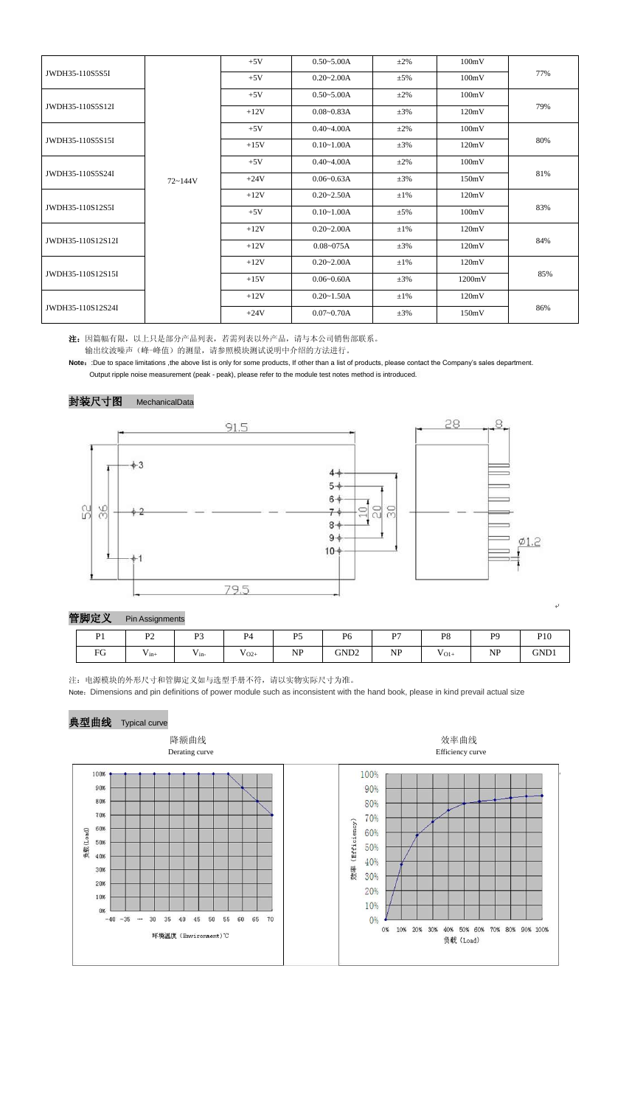|                   |             | $+5V$  | $0.50 - 5.00A$ | $\pm 2\%$ | 100mV  |            |  |
|-------------------|-------------|--------|----------------|-----------|--------|------------|--|
| JWDH35-110S5S5I   |             | $+5V$  | $0.20 - 2.00A$ | $\pm$ 5%  | 100mV  | 77%        |  |
|                   |             | $+5V$  | $0.50 - 5.00A$ | $\pm 2\%$ | 100mV  | 79%        |  |
| JWDH35-110S5S12I  |             | $+12V$ | $0.08 - 0.83A$ | $\pm 3\%$ | 120mV  |            |  |
|                   |             | $+5V$  | $0.40 - 4.00A$ | $\pm 2\%$ | 100mV  | 80%        |  |
| JWDH35-110S5S15I  |             | $+15V$ | $0.10 - 1.00A$ | $\pm 3\%$ | 120mV  |            |  |
|                   |             | $+5V$  | $0.40 - 4.00A$ | $\pm 2\%$ | 100mV  | 81%        |  |
| JWDH35-110S5S24I  | $72 - 144V$ | $+24V$ | $0.06 - 0.63A$ | $\pm 3\%$ | 150mV  |            |  |
|                   |             | $+12V$ | $0.20 - 2.50A$ | $\pm 1\%$ | 120mV  | 83%<br>84% |  |
| JWDH35-110S12S5I  |             | $+5V$  | $0.10 - 1.00A$ | $\pm$ 5%  | 100mV  |            |  |
| JWDH35-110S12S12I |             | $+12V$ | $0.20 - 2.00A$ | $\pm 1\%$ | 120mV  |            |  |
|                   |             | $+12V$ | $0.08 - 075A$  | $\pm 3\%$ | 120mV  |            |  |
| JWDH35-110S12S15I |             | $+12V$ | $0.20 - 2.00A$ | $\pm 1\%$ | 120mV  | 85%        |  |
|                   |             | $+15V$ | $0.06 - 0.60A$ | $\pm 3\%$ | 1200mV |            |  |
| JWDH35-110S12S24I |             | $+12V$ | $0.20 - 1.50A$ | $\pm 1\%$ | 120mV  |            |  |
|                   |             | $+24V$ | $0.07 - 0.70A$ | $\pm 3\%$ | 150mV  | 86%        |  |

Note: :Due to space limitations ,the above list is only for some products, If other than a list of products, please contact the Company's sales department. Output ripple noise measurement (peak - peak), please refer to the module test notes method is introduced.



注:因篇幅有限,以上只是部分产品列表,若需列表以外产品,请与本公司销售部联系。 输出纹波噪声(峰-峰值)的测量,请参照模块测试说明中介绍的方法进行。

封装尺寸图 MechanicalData

注:电源模块的外形尺寸和管脚定义如与选型手册不符,请以实物实际尺寸为准。

Note:Dimensions and pin definitions of power module such as inconsistent with the hand book, please in kind prevail actual size

| 管脚定义 |                | <b>Pin Assignments</b> |                |                |           |                  |           |                |                |      |  |
|------|----------------|------------------------|----------------|----------------|-----------|------------------|-----------|----------------|----------------|------|--|
|      | D <sub>1</sub> | רמ<br><u>۔</u>         | P <sub>3</sub> | P <sub>4</sub> | D5        | P <sub>6</sub>   | D7        | P <sub>8</sub> | P <sub>9</sub> | P10  |  |
|      | FG             | $v_{\text{in+}}$       | $v_{in}$       | T<br>$V_{O2+}$ | <b>NP</b> | GND <sub>2</sub> | <b>NP</b> | $V_{O1+}$      | <b>NP</b>      | GND1 |  |

# 典型曲线 Typical curve





ن